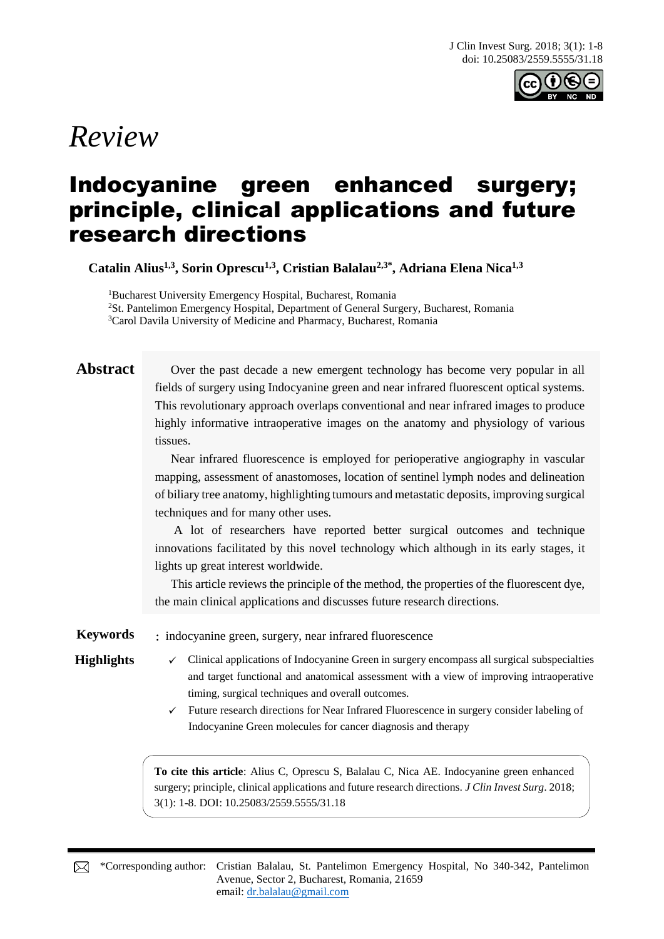

# *Review*

## Indocyanine green enhanced surgery; principle, clinical applications and future research directions

**Catalin Alius1,3, Sorin Oprescu1,3, Cristian Balalau2,3\* , Adriana Elena Nica1,3**

<sup>1</sup>Bucharest University Emergency Hospital, Bucharest, Romania <sup>2</sup>St. Pantelimon Emergency Hospital, Department of General Surgery, Bucharest, Romania <sup>3</sup>Carol Davila University of Medicine and Pharmacy, Bucharest, Romania

**Abstract** Over the past decade a new emergent technology has become very popular in all fields of surgery using Indocyanine green and near infrared fluorescent optical systems. This revolutionary approach overlaps conventional and near infrared images to produce highly informative intraoperative images on the anatomy and physiology of various tissues.

> Near infrared fluorescence is employed for perioperative angiography in vascular mapping, assessment of anastomoses, location of sentinel lymph nodes and delineation of biliary tree anatomy, highlighting tumours and metastatic deposits, improving surgical techniques and for many other uses.

> A lot of researchers have reported better surgical outcomes and technique innovations facilitated by this novel technology which although in its early stages, it lights up great interest worldwide.

> This article reviews the principle of the method, the properties of the fluorescent dye, the main clinical applications and discusses future research directions.

**Keywords** : indocyanine green, surgery, near infrared fluorescence

- 
- Highlights **√** Clinical applications of Indocyanine Green in surgery encompass all surgical subspecialties and target functional and anatomical assessment with a view of improving intraoperative timing, surgical techniques and overall outcomes.
	- ✓ Future research directions for Near Infrared Fluorescence in surgery consider labeling of Indocyanine Green molecules for cancer diagnosis and therapy

**To cite this article**: Alius C, Oprescu S, Balalau C, Nica AE. Indocyanine green enhanced surgery; principle, clinical applications and future research directions. *J Clin Invest Surg*. 2018; 3(1): 1-8. DOI: 10.25083/2559.5555/31.18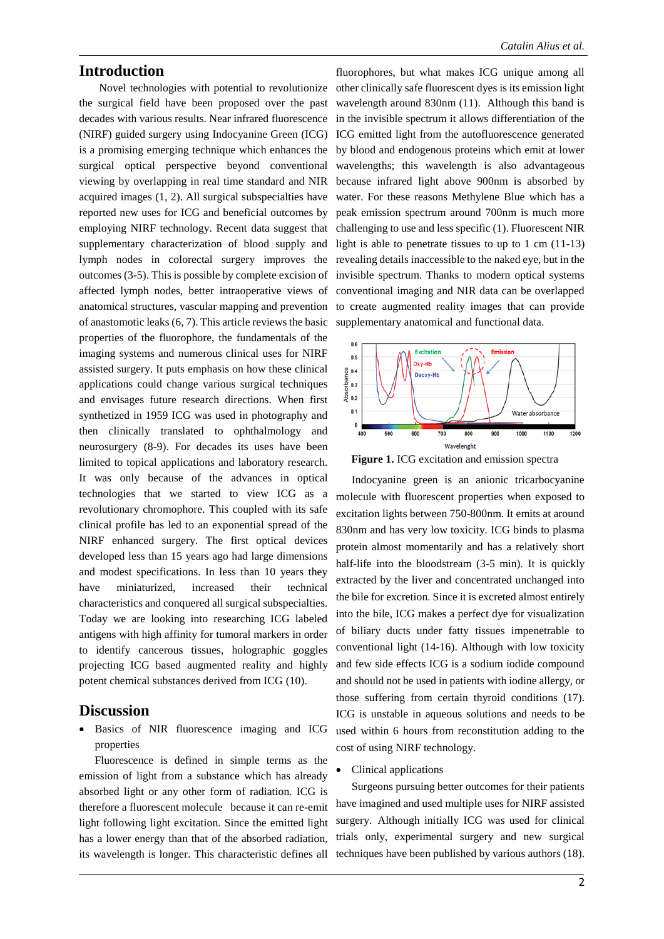#### **Introduction**

Novel technologies with potential to revolutionize the surgical field have been proposed over the past decades with various results. Near infrared fluorescence (NIRF) guided surgery using Indocyanine Green (ICG) is a promising emerging technique which enhances the surgical optical perspective beyond conventional viewing by overlapping in real time standard and NIR acquired images (1, 2). All surgical subspecialties have reported new uses for ICG and beneficial outcomes by employing NIRF technology. Recent data suggest that supplementary characterization of blood supply and lymph nodes in colorectal surgery improves the outcomes (3-5). This is possible by complete excision of affected lymph nodes, better intraoperative views of anatomical structures, vascular mapping and prevention of anastomotic leaks (6, 7). This article reviews the basic properties of the fluorophore, the fundamentals of the imaging systems and numerous clinical uses for NIRF assisted surgery. It puts emphasis on how these clinical applications could change various surgical techniques and envisages future research directions. When first synthetized in 1959 ICG was used in photography and then clinically translated to ophthalmology and neurosurgery (8-9). For decades its uses have been limited to topical applications and laboratory research. It was only because of the advances in optical technologies that we started to view ICG as a revolutionary chromophore. This coupled with its safe clinical profile has led to an exponential spread of the NIRF enhanced surgery. The first optical devices developed less than 15 years ago had large dimensions and modest specifications. In less than 10 years they have miniaturized, increased their technical characteristics and conquered all surgical subspecialties. Today we are looking into researching ICG labeled antigens with high affinity for tumoral markers in order to identify cancerous tissues, holographic goggles projecting ICG based augmented reality and highly potent chemical substances derived from ICG (10).

#### **Discussion**

Basics of NIR fluorescence imaging and ICG properties

Fluorescence is defined in simple terms as the emission of light from a substance which has already absorbed light or any other form of radiation. ICG is therefore a fluorescent molecule because it can re-emit light following light excitation. Since the emitted light has a lower energy than that of the absorbed radiation, its wavelength is longer. This characteristic defines all techniques have been published by various authors (18).

fluorophores, but what makes ICG unique among all other clinically safe fluorescent dyes is its emission light wavelength around 830nm (11). Although this band is in the invisible spectrum it allows differentiation of the ICG emitted light from the autofluorescence generated by blood and endogenous proteins which emit at lower wavelengths; this wavelength is also advantageous because infrared light above 900nm is absorbed by water. For these reasons Methylene Blue which has a peak emission spectrum around 700nm is much more challenging to use and less specific (1). Fluorescent NIR light is able to penetrate tissues to up to 1 cm (11-13) revealing details inaccessible to the naked eye, but in the invisible spectrum. Thanks to modern optical systems conventional imaging and NIR data can be overlapped to create augmented reality images that can provide supplementary anatomical and functional data.



**Figure 1.** ICG excitation and emission spectra

Indocyanine green is an anionic tricarbocyanine molecule with fluorescent properties when exposed to excitation lights between 750-800nm. It emits at around 830nm and has very low toxicity. ICG binds to plasma protein almost momentarily and has a relatively short half-life into the bloodstream (3-5 min). It is quickly extracted by the liver and concentrated unchanged into the bile for excretion. Since it is excreted almost entirely into the bile, ICG makes a perfect dye for visualization of biliary ducts under fatty tissues impenetrable to conventional light (14-16). Although with low toxicity and few side effects ICG is a sodium iodide compound and should not be used in patients with iodine allergy, or those suffering from certain thyroid conditions (17). ICG is unstable in aqueous solutions and needs to be used within 6 hours from reconstitution adding to the cost of using NIRF technology.

• Clinical applications

Surgeons pursuing better outcomes for their patients have imagined and used multiple uses for NIRF assisted surgery. Although initially ICG was used for clinical trials only, experimental surgery and new surgical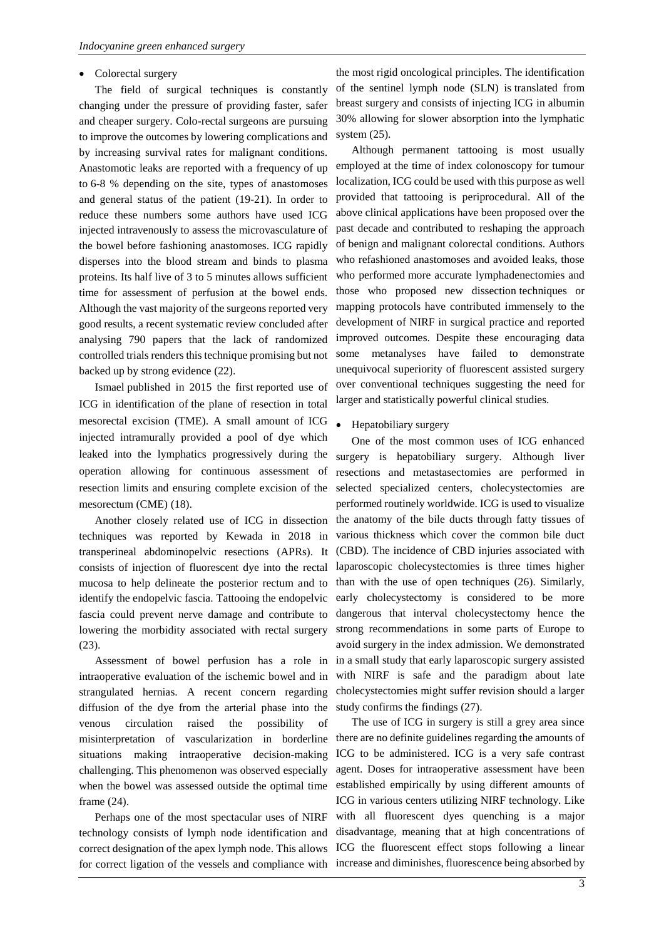#### • Colorectal surgery

The field of surgical techniques is constantly changing under the pressure of providing faster, safer and cheaper surgery. Colo-rectal surgeons are pursuing to improve the outcomes by lowering complications and by increasing survival rates for malignant conditions. Anastomotic leaks are reported with a frequency of up to 6-8 % depending on the site, types of anastomoses and general status of the patient (19-21). In order to reduce these numbers some authors have used ICG injected intravenously to assess the microvasculature of the bowel before fashioning anastomoses. ICG rapidly disperses into the blood stream and binds to plasma proteins. Its half live of 3 to 5 minutes allows sufficient time for assessment of perfusion at the bowel ends. Although the vast majority of the surgeons reported very good results, a recent systematic review concluded after analysing 790 papers that the lack of randomized controlled trials renders this technique promising but not backed up by strong evidence (22).

Ismael published in 2015 the first reported use of ICG in identification of the plane of resection in total mesorectal excision (TME). A small amount of ICG injected intramurally provided a pool of dye which leaked into the lymphatics progressively during the operation allowing for continuous assessment of resection limits and ensuring complete excision of the mesorectum (CME) (18).

Another closely related use of ICG in dissection techniques was reported by Kewada in 2018 in transperineal abdominopelvic resections (APRs). It consists of injection of fluorescent dye into the rectal mucosa to help delineate the posterior rectum and to identify the endopelvic fascia. Tattooing the endopelvic fascia could prevent nerve damage and contribute to lowering the morbidity associated with rectal surgery (23).

Assessment of bowel perfusion has a role in intraoperative evaluation of the ischemic bowel and in strangulated hernias. A recent concern regarding diffusion of the dye from the arterial phase into the venous circulation raised the possibility of misinterpretation of vascularization in borderline situations making intraoperative decision-making challenging. This phenomenon was observed especially when the bowel was assessed outside the optimal time frame (24).

Perhaps one of the most spectacular uses of NIRF technology consists of lymph node identification and correct designation of the apex lymph node. This allows for correct ligation of the vessels and compliance with

the most rigid oncological principles. The identification of the sentinel lymph node (SLN) is translated from breast surgery and consists of injecting ICG in albumin 30% allowing for slower absorption into the lymphatic system (25).

Although permanent tattooing is most usually employed at the time of index colonoscopy for tumour localization, ICG could be used with this purpose as well provided that tattooing is periprocedural. All of the above clinical applications have been proposed over the past decade and contributed to reshaping the approach of benign and malignant colorectal conditions. Authors who refashioned anastomoses and avoided leaks, those who performed more accurate lymphadenectomies and those who proposed new dissection techniques or mapping protocols have contributed immensely to the development of NIRF in surgical practice and reported improved outcomes. Despite these encouraging data some metanalyses have failed to demonstrate unequivocal superiority of fluorescent assisted surgery over conventional techniques suggesting the need for larger and statistically powerful clinical studies.

• Hepatobiliary surgery

One of the most common uses of ICG enhanced surgery is hepatobiliary surgery. Although liver resections and metastasectomies are performed in selected specialized centers, cholecystectomies are performed routinely worldwide. ICG is used to visualize the anatomy of the bile ducts through fatty tissues of various thickness which cover the common bile duct (CBD). The incidence of CBD injuries associated with laparoscopic cholecystectomies is three times higher than with the use of open techniques (26). Similarly, early cholecystectomy is considered to be more dangerous that interval cholecystectomy hence the strong recommendations in some parts of Europe to avoid surgery in the index admission. We demonstrated in a small study that early laparoscopic surgery assisted with NIRF is safe and the paradigm about late cholecystectomies might suffer revision should a larger study confirms the findings (27).

The use of ICG in surgery is still a grey area since there are no definite guidelines regarding the amounts of ICG to be administered. ICG is a very safe contrast agent. Doses for intraoperative assessment have been established empirically by using different amounts of ICG in various centers utilizing NIRF technology. Like with all fluorescent dyes quenching is a major disadvantage, meaning that at high concentrations of ICG the fluorescent effect stops following a linear increase and diminishes, fluorescence being absorbed by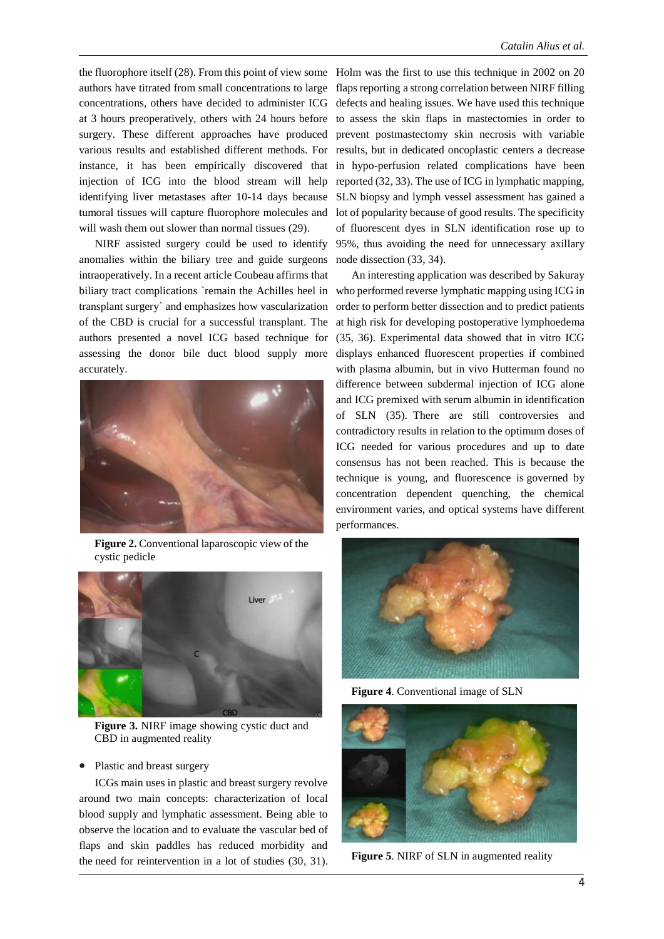authors have titrated from small concentrations to large concentrations, others have decided to administer ICG at 3 hours preoperatively, others with 24 hours before surgery. These different approaches have produced various results and established different methods. For instance, it has been empirically discovered that injection of ICG into the blood stream will help identifying liver metastases after 10-14 days because tumoral tissues will capture fluorophore molecules and will wash them out slower than normal tissues (29).

NIRF assisted surgery could be used to identify anomalies within the biliary tree and guide surgeons intraoperatively. In a recent article Coubeau affirms that transplant surgery` and emphasizes how vascularization of the CBD is crucial for a successful transplant. The authors presented a novel ICG based technique for assessing the donor bile duct blood supply more accurately.



**Figure 2.** Conventional laparoscopic view of the cystic pedicle



**Figure 3.** NIRF image showing cystic duct and CBD in augmented reality

#### • Plastic and breast surgery

ICGs main uses in plastic and breast surgery revolve around two main concepts: characterization of local blood supply and lymphatic assessment. Being able to observe the location and to evaluate the vascular bed of flaps and skin paddles has reduced morbidity and the need for reintervention in a lot of studies (30, 31).

the fluorophore itself (28). From this point of view some Holm was the first to use this technique in 2002 on 20 flaps reporting a strong correlation between NIRF filling defects and healing issues. We have used this technique to assess the skin flaps in mastectomies in order to prevent postmastectomy skin necrosis with variable results, but in dedicated oncoplastic centers a decrease in hypo-perfusion related complications have been reported (32, 33). The use of ICG in lymphatic mapping, SLN biopsy and lymph vessel assessment has gained a lot of popularity because of good results. The specificity of fluorescent dyes in SLN identification rose up to 95%, thus avoiding the need for unnecessary axillary node dissection (33, 34).

biliary tract complications `remain the Achilles heel in who performed reverse lymphatic mapping using ICG in An interesting application was described by Sakuray order to perform better dissection and to predict patients at high risk for developing postoperative lymphoedema (35, 36). Experimental data showed that in vitro ICG displays enhanced fluorescent properties if combined with plasma albumin, but in vivo Hutterman found no difference between subdermal injection of ICG alone and ICG premixed with serum albumin in identification of SLN (35). There are still controversies and contradictory results in relation to the optimum doses of ICG needed for various procedures and up to date consensus has not been reached. This is because the technique is young, and fluorescence is governed by concentration dependent quenching, the chemical environment varies, and optical systems have different performances.



**Figure 4**. Conventional image of SLN



**Figure 5**. NIRF of SLN in augmented reality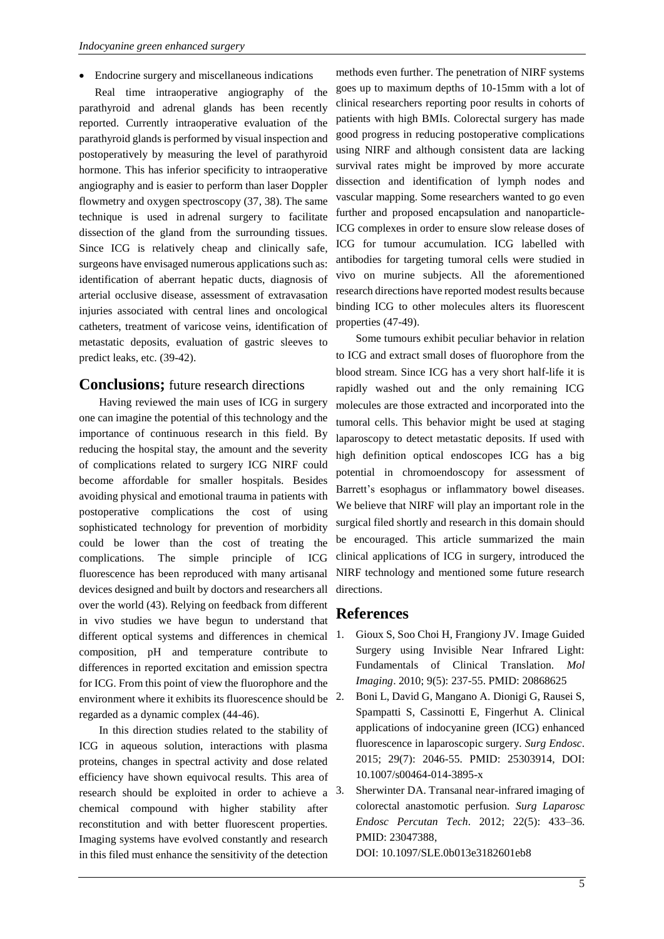• Endocrine surgery and miscellaneous indications

Real time intraoperative angiography of the parathyroid and adrenal glands has been recently reported. Currently intraoperative evaluation of the parathyroid glands is performed by visual inspection and postoperatively by measuring the level of parathyroid hormone. This has inferior specificity to intraoperative angiography and is easier to perform than laser Doppler flowmetry and oxygen spectroscopy (37, 38). The same technique is used in adrenal surgery to facilitate dissection of the gland from the surrounding tissues. Since ICG is relatively cheap and clinically safe, surgeons have envisaged numerous applications such as: identification of aberrant hepatic ducts, diagnosis of arterial occlusive disease, assessment of extravasation injuries associated with central lines and oncological catheters, treatment of varicose veins, identification of metastatic deposits, evaluation of gastric sleeves to predict leaks, etc. (39-42).

#### **Conclusions;** future research directions

Having reviewed the main uses of ICG in surgery one can imagine the potential of this technology and the importance of continuous research in this field. By reducing the hospital stay, the amount and the severity of complications related to surgery ICG NIRF could become affordable for smaller hospitals. Besides avoiding physical and emotional trauma in patients with postoperative complications the cost of using sophisticated technology for prevention of morbidity could be lower than the cost of treating the complications. The simple principle of ICG fluorescence has been reproduced with many artisanal devices designed and built by doctors and researchers all over the world (43). Relying on feedback from different in vivo studies we have begun to understand that different optical systems and differences in chemical composition, pH and temperature contribute to differences in reported excitation and emission spectra for ICG. From this point of view the fluorophore and the environment where it exhibits its fluorescence should be  $2$ . regarded as a dynamic complex (44-46).

In this direction studies related to the stability of ICG in aqueous solution, interactions with plasma proteins, changes in spectral activity and dose related efficiency have shown equivocal results. This area of research should be exploited in order to achieve a 3. chemical compound with higher stability after reconstitution and with better fluorescent properties. Imaging systems have evolved constantly and research in this filed must enhance the sensitivity of the detection

methods even further. The penetration of NIRF systems goes up to maximum depths of 10-15mm with a lot of clinical researchers reporting poor results in cohorts of patients with high BMIs. Colorectal surgery has made good progress in reducing postoperative complications using NIRF and although consistent data are lacking survival rates might be improved by more accurate dissection and identification of lymph nodes and vascular mapping. Some researchers wanted to go even further and proposed encapsulation and nanoparticle-ICG complexes in order to ensure slow release doses of ICG for tumour accumulation. ICG labelled with antibodies for targeting tumoral cells were studied in vivo on murine subjects. All the aforementioned research directions have reported modest results because binding ICG to other molecules alters its fluorescent properties (47-49).

Some tumours exhibit peculiar behavior in relation to ICG and extract small doses of fluorophore from the blood stream. Since ICG has a very short half-life it is rapidly washed out and the only remaining ICG molecules are those extracted and incorporated into the tumoral cells. This behavior might be used at staging laparoscopy to detect metastatic deposits. If used with high definition optical endoscopes ICG has a big potential in chromoendoscopy for assessment of Barrett's esophagus or inflammatory bowel diseases. We believe that NIRF will play an important role in the surgical filed shortly and research in this domain should be encouraged. This article summarized the main clinical applications of ICG in surgery, introduced the NIRF technology and mentioned some future research directions.

### **References**

- 1. Gioux S, Soo Choi H, Frangiony JV. Image Guided Surgery using Invisible Near Infrared Light: Fundamentals of Clinical Translation. *Mol Imaging*. 2010; 9(5): 237-55. PMID: 20868625
- 2. Boni L, David G, Mangano A. Dionigi G, Rausei S, Spampatti S, Cassinotti E, Fingerhut A. Clinical applications of indocyanine green (ICG) enhanced fluorescence in laparoscopic surgery. *Surg Endosc*. 2015; 29(7): 2046-55. PMID: 25303914, DOI: 10.1007/s00464-014-3895-x
- 3. Sherwinter DA. Transanal near-infrared imaging of colorectal anastomotic perfusion. *Surg Laparosc Endosc Percutan Tech*. 2012; 22(5): 433–36. PMID: 23047388, DOI: 10.1097/SLE.0b013e3182601eb8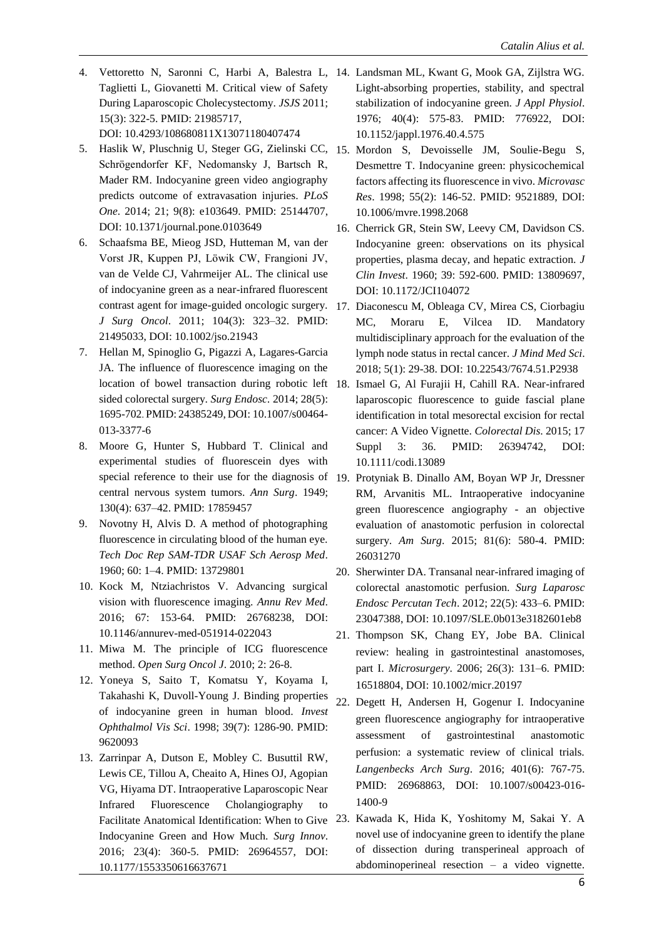- 4. Vettoretto N, Saronni C, Harbi A, Balestra L, 14. Landsman ML, Kwant G, Mook GA, Zijlstra WG. Taglietti L, Giovanetti M. Critical view of Safety During Laparoscopic Cholecystectomy. *JSJS* 2011; 15(3): 322-5. PMID: 21985717, DOI: 10.4293/108680811X13071180407474
- 5. Haslik W, Pluschnig U, Steger GG, Zielinski CC, 15. Mordon S, Devoisselle JM, Soulie-Begu S, Schrögendorfer KF, Nedomansky J, Bartsch R, Mader RM. Indocyanine green video angiography predicts outcome of extravasation injuries. *PLoS One*. 2014; 21; 9(8): e103649. PMID: 25144707, DOI: 10.1371/journal.pone.0103649
- 6. Schaafsma BE, Mieog JSD, Hutteman M, van der Vorst JR, Kuppen PJ, Löwik CW, Frangioni JV, van de Velde CJ, Vahrmeijer AL. The clinical use of indocyanine green as a near-infrared fluorescent contrast agent for image-guided oncologic surgery. 17. Diaconescu M, Obleaga CV, Mirea CS, Ciorbagiu *J Surg Oncol*. 2011; 104(3): 323–32. PMID: 21495033, DOI: 10.1002/jso.21943
- 7. Hellan M, Spinoglio G, Pigazzi A, Lagares-Garcia JA. The influence of fluorescence imaging on the sided colorectal surgery. *Surg Endosc.* 2014; 28(5): 1695-702. PMID: 24385249, DOI: 10.1007/s00464- 013-3377-6
- 8. Moore G, Hunter S, Hubbard T. Clinical and experimental studies of fluorescein dyes with central nervous system tumors. *Ann Surg*. 1949; 130(4): 637–42. PMID: 17859457
- 9. Novotny H, Alvis D. A method of photographing fluorescence in circulating blood of the human eye. *Tech Doc Rep SAM-TDR USAF Sch Aerosp Med*. 1960; 60: 1–4. PMID: 13729801
- 10. Kock M, Ntziachristos V. Advancing surgical vision with fluorescence imaging. *Annu Rev Med*. 2016; 67: 153-64. PMID: 26768238, DOI: 10.1146/annurev-med-051914-022043
- 11. Miwa M. The principle of ICG fluorescence method. *Open Surg Oncol J*. 2010; 2: 26-8.
- 12. Yoneya S, Saito T, Komatsu Y, Koyama I, Takahashi K, Duvoll-Young J. Binding properties of indocyanine green in human blood. *Invest Ophthalmol Vis Sci*. 1998; 39(7): 1286-90. PMID: 9620093
- 13. Zarrinpar A, Dutson E, Mobley C. Busuttil RW, Lewis CE, Tillou A, Cheaito A, Hines OJ, Agopian VG, Hiyama DT. Intraoperative Laparoscopic Near Infrared Fluorescence Cholangiography to Facilitate Anatomical Identification: When to Give Indocyanine Green and How Much. *Surg Innov*. 2016; 23(4): 360-5. PMID: 26964557, DOI: 10.1177/1553350616637671
- Light-absorbing properties, stability, and spectral stabilization of indocyanine green. *J Appl Physiol*. 1976; 40(4): 575-83. PMID: 776922, DOI: 10.1152/jappl.1976.40.4.575
- Desmettre T. Indocyanine green: physicochemical factors affecting its fluorescence in vivo. *Microvasc Res*. 1998; 55(2): 146-52. PMID: 9521889, DOI: 10.1006/mvre.1998.2068
- 16. Cherrick GR, Stein SW, Leevy CM, Davidson CS. Indocyanine green: observations on its physical properties, plasma decay, and hepatic extraction. *J Clin Invest*. 1960; 39: 592-600. PMID: 13809697, DOI: 10.1172/JCI104072
- MC, Moraru E, Vilcea ID. Mandatory multidisciplinary approach for the evaluation of the lymph node status in rectal cancer. *J Mind Med Sci*. 2018; 5(1): 29-38. DOI: 10.22543/7674.51.P2938
- location of bowel transaction during robotic left 18. Ismael G, Al Furajii H, Cahill RA. Near-infrared laparoscopic fluorescence to guide fascial plane identification in total mesorectal excision for rectal cancer: A Video Vignette. *Colorectal Dis*. 2015; 17 Suppl 3: 36. PMID: 26394742, DOI: 10.1111/codi.13089
- special reference to their use for the diagnosis of 19. Protyniak B. Dinallo AM, Boyan WP Jr, Dressner RM, Arvanitis ML. Intraoperative indocyanine green fluorescence angiography - an objective evaluation of anastomotic perfusion in colorectal surgery. *Am Surg*. 2015; 81(6): 580-4. PMID: 26031270
	- 20. Sherwinter DA. Transanal near-infrared imaging of colorectal anastomotic perfusion. *Surg Laparosc Endosc Percutan Tech*. 2012; 22(5): 433–6. PMID: 23047388, DOI: 10.1097/SLE.0b013e3182601eb8
	- 21. Thompson SK, Chang EY, Jobe BA. Clinical review: healing in gastrointestinal anastomoses, part I. *Microsurgery*. 2006; 26(3): 131–6. PMID: 16518804, DOI: 10.1002/micr.20197
	- 22. Degett H, Andersen H, Gogenur I. Indocyanine green fluorescence angiography for intraoperative assessment of gastrointestinal anastomotic perfusion: a systematic review of clinical trials. *Langenbecks Arch Surg*. 2016; 401(6): 767-75. PMID: 26968863, DOI: 10.1007/s00423-016- 1400-9
	- 23. Kawada K, Hida K, Yoshitomy M, Sakai Y. A novel use of indocyanine green to identify the plane of dissection during transperineal approach of abdominoperineal resection – a video vignette.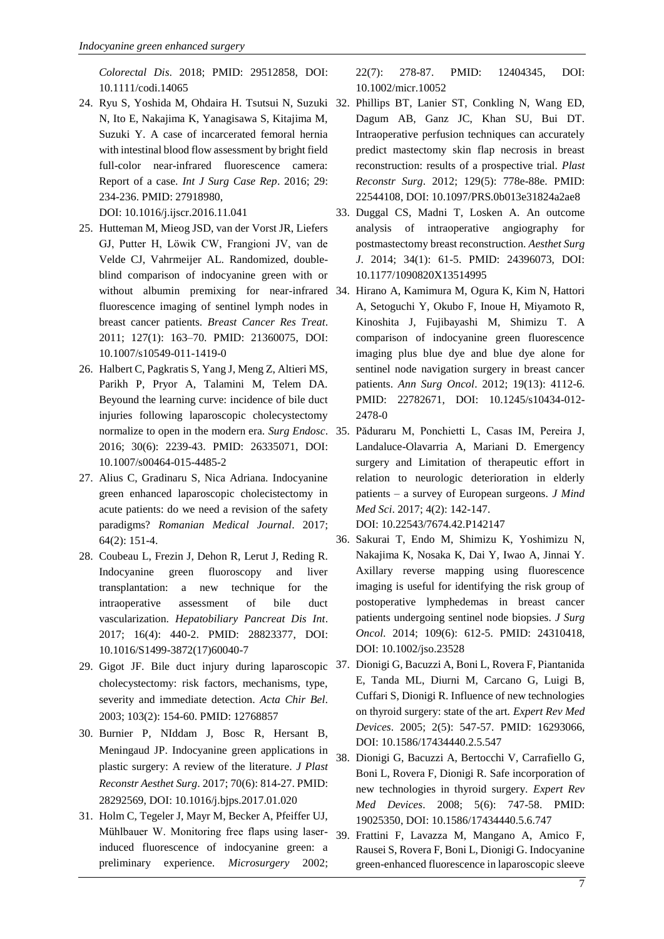*Colorectal Dis*. 2018; PMID: 29512858, DOI: 10.1111/codi.14065

N, Ito E, Nakajima K, Yanagisawa S, Kitajima M, Suzuki Y. A case of incarcerated femoral hernia with intestinal blood flow assessment by bright field full-color near-infrared fluorescence camera: Report of a case. *Int J Surg Case Rep*. 2016; 29: 234-236. PMID: 27918980,

DOI: 10.1016/j.ijscr.2016.11.041

- 25. Hutteman M, Mieog JSD, van der Vorst JR, Liefers GJ, Putter H, Löwik CW, Frangioni JV, van de Velde CJ, Vahrmeijer AL. Randomized, doubleblind comparison of indocyanine green with or fluorescence imaging of sentinel lymph nodes in breast cancer patients. *Breast Cancer Res Treat*. 2011; 127(1): 163–70. PMID: 21360075, DOI: 10.1007/s10549-011-1419-0
- 26. Halbert C, Pagkratis S, Yang J, Meng Z, Altieri MS, Parikh P, Pryor A, Talamini M, Telem DA. Beyound the learning curve: incidence of bile duct injuries following laparoscopic cholecystectomy 2016; 30(6): 2239-43. PMID: 26335071, DOI: 10.1007/s00464-015-4485-2
- 27. Alius C, Gradinaru S, Nica Adriana. Indocyanine green enhanced laparoscopic cholecistectomy in acute patients: do we need a revision of the safety paradigms? *Romanian Medical Journal*. 2017; 64(2): 151-4.
- 28. [Coubeau L,](https://www.ncbi.nlm.nih.gov/pubmed/?term=Coubeau%20L%5BAuthor%5D&cauthor=true&cauthor_uid=28823377) [Frezin J,](https://www.ncbi.nlm.nih.gov/pubmed/?term=Frezin%20J%5BAuthor%5D&cauthor=true&cauthor_uid=28823377) [Dehon R,](https://www.ncbi.nlm.nih.gov/pubmed/?term=Dehon%20R%5BAuthor%5D&cauthor=true&cauthor_uid=28823377) [Lerut J,](https://www.ncbi.nlm.nih.gov/pubmed/?term=Lerut%20J%5BAuthor%5D&cauthor=true&cauthor_uid=28823377) [Reding R.](https://www.ncbi.nlm.nih.gov/pubmed/?term=Reding%20R%5BAuthor%5D&cauthor=true&cauthor_uid=28823377) Indocyanine green fluoroscopy and liver transplantation: a new technique for the intraoperative assessment of bile duct vascularization. *[Hepatobiliary Pancreat Dis Int](https://www.ncbi.nlm.nih.gov/pubmed/28823377)*. 2017; 16(4): 440-2. PMID: 28823377, DOI: 10.1016/S1499-3872(17)60040-7
- cholecystectomy: risk factors, mechanisms, type, severity and immediate detection. *Acta Chir Bel*. 2003; 103(2): 154-60. PMID: 12768857
- 30. Burnier P, NIddam J, Bosc R, Hersant B, Meningaud JP. Indocyanine green applications in plastic surgery: A review of the literature. *[J Plast](https://www.ncbi.nlm.nih.gov/pubmed/28292569)  [Reconstr Aesthet Surg](https://www.ncbi.nlm.nih.gov/pubmed/28292569)*. 2017; 70(6): 814-27. PMID: 28292569, DOI: 10.1016/j.bjps.2017.01.020
- 31. Holm C, Tegeler J, Mayr M, Becker A, Pfeiffer UJ, Mühlbauer W. Monitoring free flaps using laser-39. Frattini F, Lavazza M, Mangano A, Amico F, induced fluorescence of indocyanine green: a preliminary experience. *Microsurgery* 2002;

22(7): 278-87. PMID: 12404345, DOI: 10.1002/micr.10052

- 24. Ryu S, Yoshida M, Ohdaira H. Tsutsui N, Suzuki 32. Phillips BT, Lanier ST, Conkling N, Wang ED, Dagum AB, Ganz JC, Khan SU, Bui DT. Intraoperative perfusion techniques can accurately predict mastectomy skin flap necrosis in breast reconstruction: results of a prospective trial. *Plast Reconstr Surg*. 2012; 129(5): 778e-88e. PMID: 22544108, DOI: 10.1097/PRS.0b013e31824a2ae8
	- 33. Duggal CS, Madni T, Losken A. An outcome analysis of intraoperative angiography for postmastectomy breast reconstruction. *Aesthet Surg J*. 2014; 34(1): 61-5. PMID: 24396073, DOI: 10.1177/1090820X13514995
	- without albumin premixing for near-infrared 34. Hirano A, Kamimura M, Ogura K, Kim N, Hattori A, Setoguchi Y, Okubo F, Inoue H, Miyamoto R, Kinoshita J, Fujibayashi M, Shimizu T. A comparison of indocyanine green fluorescence imaging plus blue dye and blue dye alone for sentinel node navigation surgery in breast cancer patients. *Ann Surg Oncol*. 2012; 19(13): 4112-6. PMID: 22782671, DOI: 10.1245/s10434-012- 2478-0
	- normalize to open in the modern era. *Surg Endosc*. 35. Păduraru M, Ponchietti L, Casas IM, Pereira J, Landaluce-Olavarria A, Mariani D. Emergency surgery and Limitation of therapeutic effort in relation to neurologic deterioration in elderly patients – a survey of European surgeons. *J Mind Med Sci*. 2017; 4(2): 142-147. DOI: 10.22543/7674.42.P142147
		- 36. Sakurai T, Endo M, Shimizu K, Yoshimizu N, Nakajima K, Nosaka K, Dai Y, Iwao A, Jinnai Y. Axillary reverse mapping using fluorescence imaging is useful for identifying the risk group of postoperative lymphedemas in breast cancer patients undergoing sentinel node biopsies. *J Surg Oncol*. 2014; 109(6): 612-5. PMID: 24310418, DOI: 10.1002/jso.23528
- 29. Gigot JF. Bile duct injury during laparoscopic 37. Dionigi G, Bacuzzi A, Boni L, Rovera F, Piantanida E, Tanda ML, Diurni M, Carcano G, Luigi B, Cuffari S, Dionigi R. Influence of new technologies on thyroid surgery: state of the art. *Expert Rev Med Devices*. 2005; 2(5): 547-57. PMID: 16293066, DOI: 10.1586/17434440.2.5.547
	- 38. Dionigi G, Bacuzzi A, Bertocchi V, Carrafiello G, Boni L, Rovera F, Dionigi R. Safe incorporation of new technologies in thyroid surgery. *Expert Rev Med Devices*. 2008; 5(6): 747-58. PMID: 19025350, DOI: 10.1586/17434440.5.6.747
	- Rausei S, Rovera F, Boni L, Dionigi G. Indocyanine green-enhanced fluorescence in laparoscopic sleeve